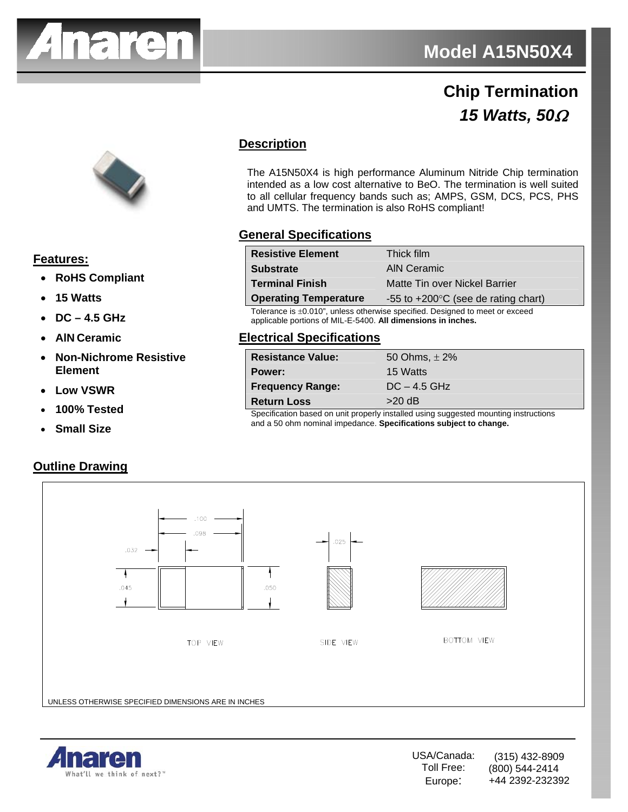

## **Chip Termination** *15 Watts, 50*Ω



#### **Features:**

- **RoHS Compliant**
- **15 Watts**
- **DC 4.5 GHz**
- **AlN Ceramic**
- **Non-Nichrome Resistive Element**
- **Low VSWR**
- **100% Tested**
- **Small Size**

#### **Outline Drawing**

### **Description**

The A15N50X4 is high performance Aluminum Nitride Chip termination intended as a low cost alternative to BeO. The termination is well suited to all cellular frequency bands such as; AMPS, GSM, DCS, PCS, PHS and UMTS. The termination is also RoHS compliant!

#### **General Specifications**

| <b>Resistive Element</b>     | Thick film                                      |
|------------------------------|-------------------------------------------------|
| <b>Substrate</b>             | AIN Ceramic                                     |
| <b>Terminal Finish</b>       | Matte Tin over Nickel Barrier                   |
| <b>Operating Temperature</b> | $-55$ to $+200^{\circ}$ C (see de rating chart) |

Tolerance is ±0.010", unless otherwise specified. Designed to meet or exceed applicable portions of MIL-E-5400. **All dimensions in inches.**

#### **Electrical Specifications**

| <b>Resistance Value:</b>                                                                                        | 50 Ohms, $\pm$ 2% |
|-----------------------------------------------------------------------------------------------------------------|-------------------|
| Power:                                                                                                          | 15 Watts          |
| <b>Frequency Range:</b>                                                                                         | $DC - 4.5$ GHz    |
| <b>Return Loss</b>                                                                                              | $>20$ dB          |
| . On a still satisface because the communication of the state of the state state of the state of the state of s |                   |

Specification based on unit properly installed using suggested mounting instructions and a 50 ohm nominal impedance. **Specifications subject to change.**